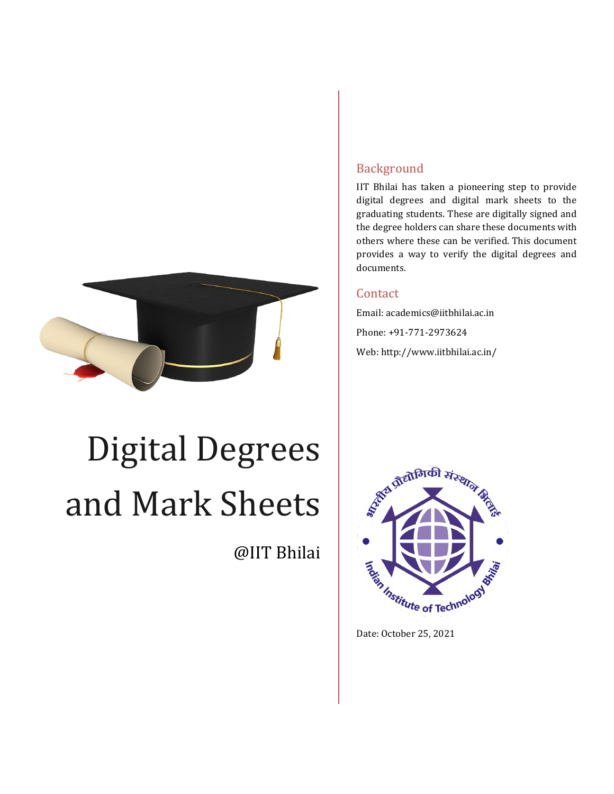

# Digital Degrees and Mark Sheets

@IIT Bhilai

## Background

IIT Bhilai has taken a pioneering step to provide digital degrees and digital mark sheets to the graduating students. These are digitally signed and the degree holders can share these documents with others where these can be verified. This document provides a way to verify the digital degrees and documents.

### Contact

Email: academics@iitbhilai.ac.in Phone: +91-771-2973624 Web: http://www.iitbhilai.ac.in/



Date: October 25, 2021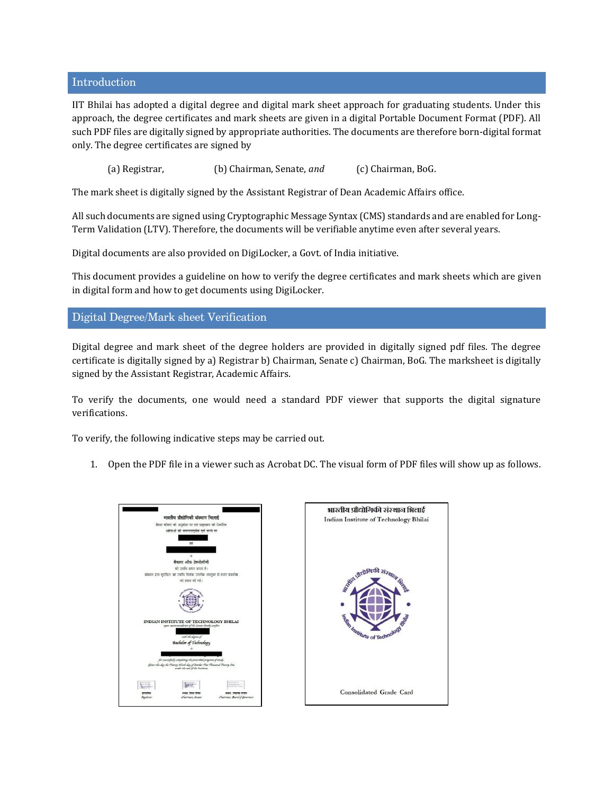#### Introduction

IIT Bhilai has adopted a digital degree and digital mark sheet approach for graduating students. Under this approach, the degree certificates and mark sheets are given in a digital Portable Document Format (PDF). All such PDF files are digitally signed by appropriate authorities. The documents are therefore born-digital format only. The degree certificates are signed by

(a) Registrar, (b) Chairman, Senate, *and* (c) Chairman, BoG.

The mark sheet is digitally signed by the Assistant Registrar of Dean Academic Affairs office.

All such documents are signed using Cryptographic Message Syntax (CMS) standards and are enabled for Long-Term Validation (LTV). Therefore, the documents will be verifiable anytime even after several years.

Digital documents are also provided on DigiLocker, a Govt. of India initiative.

This document provides a guideline on how to verify the degree certificates and mark sheets which are given in digital form and how to get documents using DigiLocker.

#### Digital Degree/Mark sheet Verification

Digital degree and mark sheet of the degree holders are provided in digitally signed pdf files. The degree certificate is digitally signed by a) Registrar b) Chairman, Senate c) Chairman, BoG. The marksheet is digitally signed by the Assistant Registrar, Academic Affairs.

To verify the documents, one would need a standard PDF viewer that supports the digital signature verifications.

To verify, the following indicative steps may be carried out.

1. Open the PDF file in a viewer such as Acrobat DC. The visual form of PDF files will show up as follows.

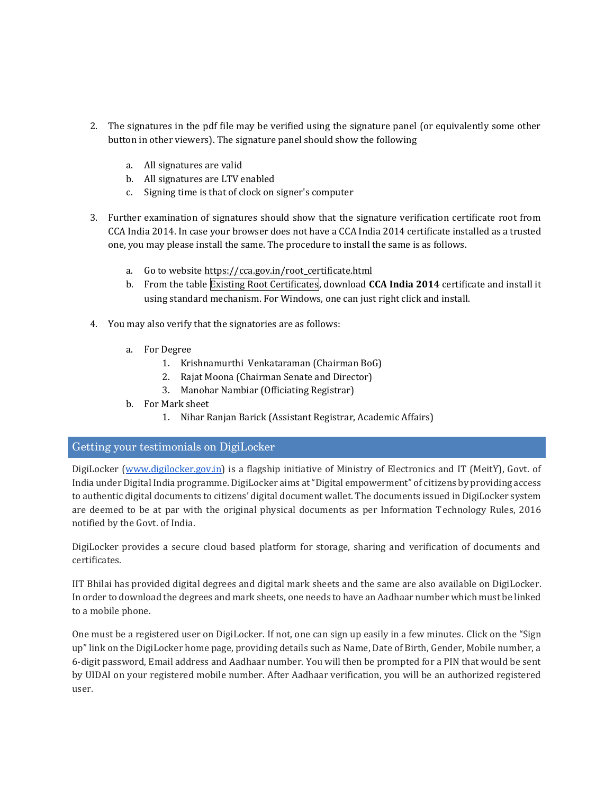- 2. The signatures in the pdf file may be verified using the signature panel (or equivalently some other button in other viewers). The signature panel should show the following
	- a. All signatures are valid
	- b. All signatures are LTV enabled
	- c. Signing time is that of clock on signer's computer
- 3. Further examination of signatures should show that the signature verification certificate root from CCA India 2014. In case your browser does not have a CCA India 2014 certificate installed as a trusted one, you may please install the same. The procedure to install the same is as follows.
	- a. Go to [w](https://cca.gov.in/root_certificate.html)ebsite [https://cca.gov.in/root\\_certificate.html](https://cca.gov.in/root_certificate.html)
	- b. From the table Existing Root Certificates, download **CCA India 2014** certificate and install it using standard mechanism. For Windows, one can just right click and install.
- 4. You may also verify that the signatories are as follows:
	- a. For Degree
		- 1. Krishnamurthi Venkataraman (Chairman BoG)
		- 2. Rajat Moona (Chairman Senate and Director)
		- 3. Manohar Nambiar (Officiating Registrar)
	- b. For Mark sheet
		- 1. Nihar Ranjan Barick (Assistant Registrar, Academic Affairs)

#### Getting your testimonials on DigiLocker

DigiLocker [\(www.digilocker.gov.in\)](http://www.digilocker.gov.in/) is a flagship initiative of Ministry of Electronics and IT (MeitY), Govt. of India under Digital India programme. DigiLocker aims at "Digital empowerment" of citizens by providing access to authentic digital documents to citizens' digital document wallet. The documents issued in DigiLocker system are deemed to be at par with the original physical documents as per Information Technology Rules, 2016 notified by the Govt. of India.

DigiLocker provides a secure cloud based platform for storage, sharing and verification of documents and certificates.

IIT Bhilai has provided digital degrees and digital mark sheets and the same are also available on DigiLocker. In order to download the degrees and mark sheets, one needs to have an Aadhaar number which must be linked to a mobile phone.

One must be a registered user on DigiLocker. If not, one can sign up easily in a few minutes. Click on the "Sign up" link on the DigiLocker home page, providing details such as Name, Date of Birth, Gender, Mobile number, a 6-digit password, Email address and Aadhaar number. You will then be prompted for a PIN that would be sent by UIDAI on your registered mobile number. After Aadhaar verification, you will be an authorized registered user.